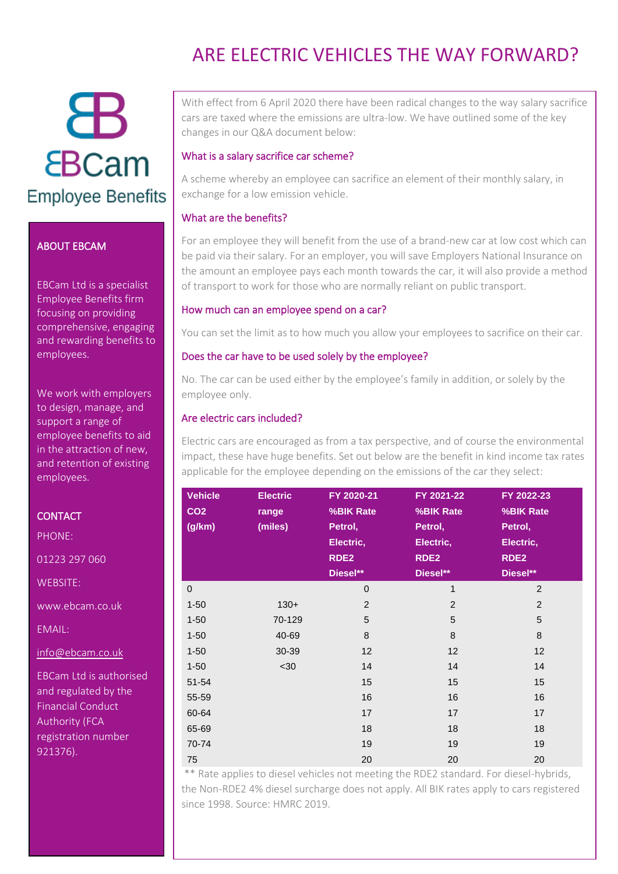# Ж **EBCam Employee Benefits**

#### ABOUT EBCAM

EBCam Ltd is a specialist Employee Benefits firm focusing on providing comprehensive, engaging and rewarding benefits to employees.

We work with employers to design, manage, and support a range of employee benefits to aid in the attraction of new, and retention of existing employees.

#### **CONTACT**

PHONE:

01223 297 060

WEBSITE:

www.ebcam.co.uk

EMAIL:

[info@ebcam.co.uk](mailto:info@ebcam.co.uk)

EBCam Ltd is authorised and regulated by the Financial Conduct Authority (FCA registration number 921376).

### ARE FLECTRIC VEHICLES THE WAY FORWARD?

With effect from 6 April 2020 there have been radical changes to the way salary sacrifice cars are taxed where the emissions are ultra-low. We have outlined some of the key changes in our Q&A document below:

#### What is a salary sacrifice car scheme?

A scheme whereby an employee can sacrifice an element of their monthly salary, in exchange for a low emission vehicle.

#### What are the benefits?

For an employee they will benefit from the use of a brand-new car at low cost which can be paid via their salary. For an employer, you will save Employers National Insurance on the amount an employee pays each month towards the car, it will also provide a method of transport to work for those who are normally reliant on public transport.

#### How much can an employee spend on a car?

You can set the limit as to how much you allow your employees to sacrifice on their car.

#### Does the car have to be used solely by the employee?

No. The car can be used either by the employee's family in addition, or solely by the employee only.

#### Are electric cars included?

Electric cars are encouraged as from a tax perspective, and of course the environmental impact, these have huge benefits. Set out below are the benefit in kind income tax rates applicable for the employee depending on the emissions of the car they select:

| <b>Vehicle</b><br>CO <sub>2</sub><br>(g/km) | <b>Electric</b><br>range<br>(miles) | FY 2020-21<br>%BIK Rate<br>Petrol,<br>Electric,<br>RDE <sub>2</sub><br>Diesel** | FY 2021-22<br>%BIK Rate<br>Petrol,<br>Electric,<br>RDE2<br>Diesel** | FY 2022-23<br>%BIK Rate<br>Petrol,<br>Electric,<br>RDE <sub>2</sub><br>Diesel** |
|---------------------------------------------|-------------------------------------|---------------------------------------------------------------------------------|---------------------------------------------------------------------|---------------------------------------------------------------------------------|
| $\overline{0}$                              |                                     | $\mathbf 0$                                                                     | 1                                                                   | 2                                                                               |
| $1 - 50$                                    | $130+$                              | 2                                                                               | $\overline{2}$                                                      | $\overline{2}$                                                                  |
| $1 - 50$                                    | 70-129                              | 5                                                                               | 5                                                                   | 5                                                                               |
| $1 - 50$                                    | 40-69                               | 8                                                                               | 8                                                                   | 8                                                                               |
| $1 - 50$                                    | 30-39                               | 12                                                                              | 12                                                                  | 12                                                                              |
| $1 - 50$                                    | $30$                                | 14                                                                              | 14                                                                  | 14                                                                              |
| $51 - 54$                                   |                                     | 15                                                                              | 15                                                                  | 15                                                                              |
| 55-59                                       |                                     | 16                                                                              | 16                                                                  | 16                                                                              |
| 60-64                                       |                                     | 17                                                                              | 17                                                                  | 17                                                                              |
| 65-69                                       |                                     | 18                                                                              | 18                                                                  | 18                                                                              |
| 70-74                                       |                                     | 19                                                                              | 19                                                                  | 19                                                                              |
| 75                                          |                                     | 20                                                                              | 20                                                                  | 20                                                                              |

\*\* Rate applies to diesel vehicles not meeting the RDE2 standard. For diesel-hybrids, the Non-RDE2 4% diesel surcharge does not apply. All BIK rates apply to cars registered since 1998. Source: HMRC 2019.